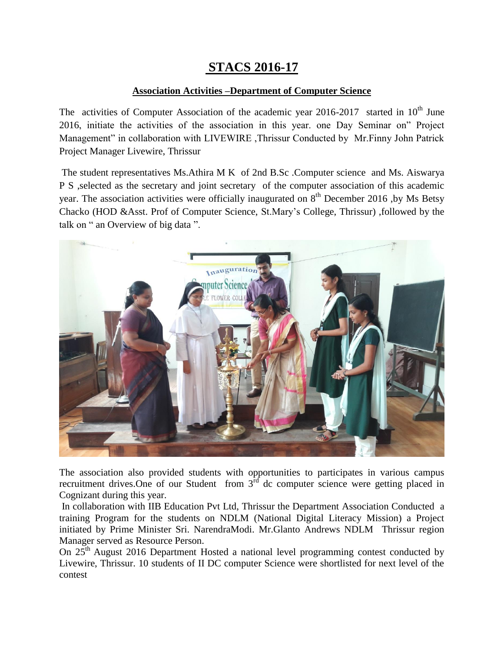## **STACS 2016-17**

## **Association Activities –Department of Computer Science**

The activities of Computer Association of the academic year  $2016-2017$  started in  $10<sup>th</sup>$  June 2016, initiate the activities of the association in this year. one Day Seminar on" Project Management" in collaboration with LIVEWIRE ,Thrissur Conducted by Mr.Finny John Patrick Project Manager Livewire, Thrissur

The student representatives Ms.Athira M K of 2nd B.Sc .Computer science and Ms. Aiswarya P S ,selected as the secretary and joint secretary of the computer association of this academic year. The association activities were officially inaugurated on  $8<sup>th</sup>$  December 2016 ,by Ms Betsy Chacko (HOD &Asst. Prof of Computer Science, St.Mary's College, Thrissur) ,followed by the talk on " an Overview of big data ".



The association also provided students with opportunities to participates in various campus recruitment drives. One of our Student from  $3<sup>rd</sup>$  dc computer science were getting placed in Cognizant during this year.

In collaboration with IIB Education Pvt Ltd, Thrissur the Department Association Conducted a training Program for the students on NDLM (National Digital Literacy Mission) a Project initiated by Prime Minister Sri. NarendraModi. Mr.Glanto Andrews NDLM Thrissur region Manager served as Resource Person.

On 25<sup>th</sup> August 2016 Department Hosted a national level programming contest conducted by Livewire, Thrissur. 10 students of II DC computer Science were shortlisted for next level of the contest